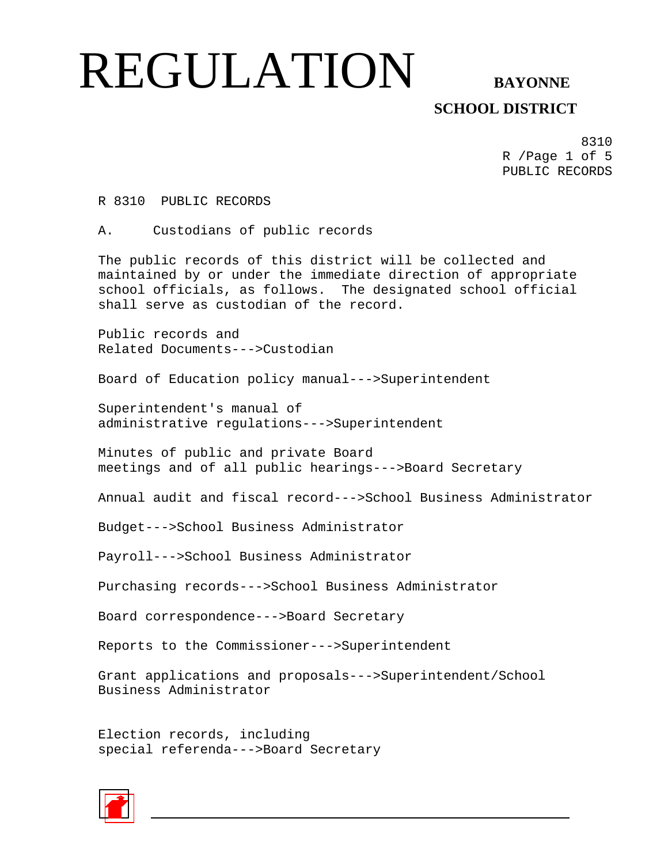**SCHOOL DISTRICT** 

8310 R /Page 1 of 5 PUBLIC RECORDS

R 8310 PUBLIC RECORDS

A. Custodians of public records

The public records of this district will be collected and maintained by or under the immediate direction of appropriate school officials, as follows. The designated school official shall serve as custodian of the record.

Public records and Related Documents--->Custodian

Board of Education policy manual--->Superintendent

Superintendent's manual of administrative regulations--->Superintendent

Minutes of public and private Board meetings and of all public hearings--->Board Secretary

Annual audit and fiscal record--->School Business Administrator

Budget--->School Business Administrator

Payroll--->School Business Administrator

Purchasing records--->School Business Administrator

Board correspondence--->Board Secretary

Reports to the Commissioner--->Superintendent

Grant applications and proposals--->Superintendent/School Business Administrator

Election records, including special referenda--->Board Secretary

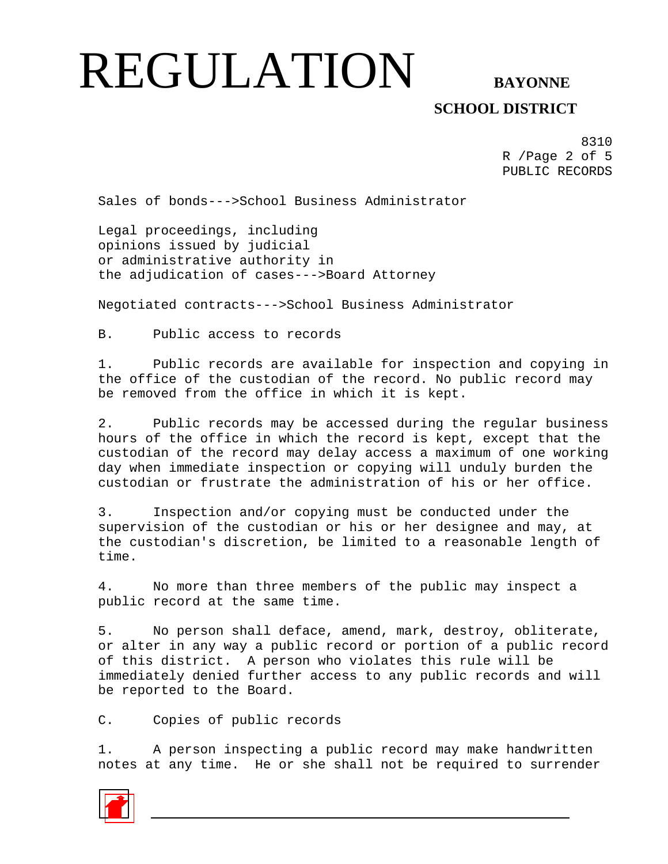## **SCHOOL DISTRICT**

8310 R /Page 2 of 5 PUBLIC RECORDS

Sales of bonds--->School Business Administrator

Legal proceedings, including opinions issued by judicial or administrative authority in the adjudication of cases--->Board Attorney

Negotiated contracts--->School Business Administrator

B. Public access to records

1. Public records are available for inspection and copying in the office of the custodian of the record. No public record may be removed from the office in which it is kept.

2. Public records may be accessed during the regular business hours of the office in which the record is kept, except that the custodian of the record may delay access a maximum of one working day when immediate inspection or copying will unduly burden the custodian or frustrate the administration of his or her office.

3. Inspection and/or copying must be conducted under the supervision of the custodian or his or her designee and may, at the custodian's discretion, be limited to a reasonable length of time.

4. No more than three members of the public may inspect a public record at the same time.

5. No person shall deface, amend, mark, destroy, obliterate, or alter in any way a public record or portion of a public record of this district. A person who violates this rule will be immediately denied further access to any public records and will be reported to the Board.

C. Copies of public records

1. A person inspecting a public record may make handwritten notes at any time. He or she shall not be required to surrender

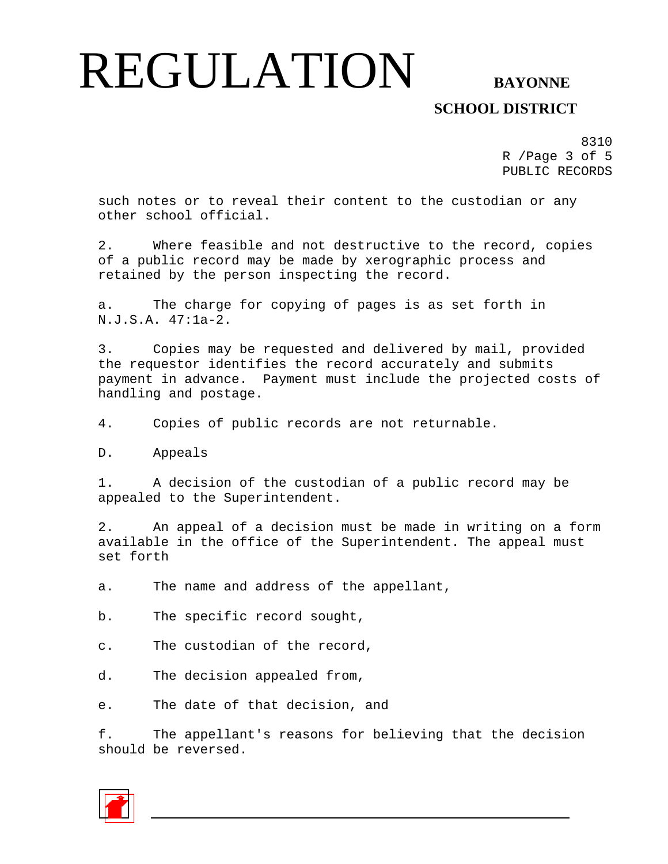## **SCHOOL DISTRICT**

8310 R /Page 3 of 5 PUBLIC RECORDS

such notes or to reveal their content to the custodian or any other school official.

2. Where feasible and not destructive to the record, copies of a public record may be made by xerographic process and retained by the person inspecting the record.

a. The charge for copying of pages is as set forth in N.J.S.A. 47:1a-2.

3. Copies may be requested and delivered by mail, provided the requestor identifies the record accurately and submits payment in advance. Payment must include the projected costs of handling and postage.

4. Copies of public records are not returnable.

D. Appeals

1. A decision of the custodian of a public record may be appealed to the Superintendent.

2. An appeal of a decision must be made in writing on a form available in the office of the Superintendent. The appeal must set forth

a. The name and address of the appellant,

b. The specific record sought,

c. The custodian of the record,

d. The decision appealed from,

e. The date of that decision, and

f. The appellant's reasons for believing that the decision should be reversed.

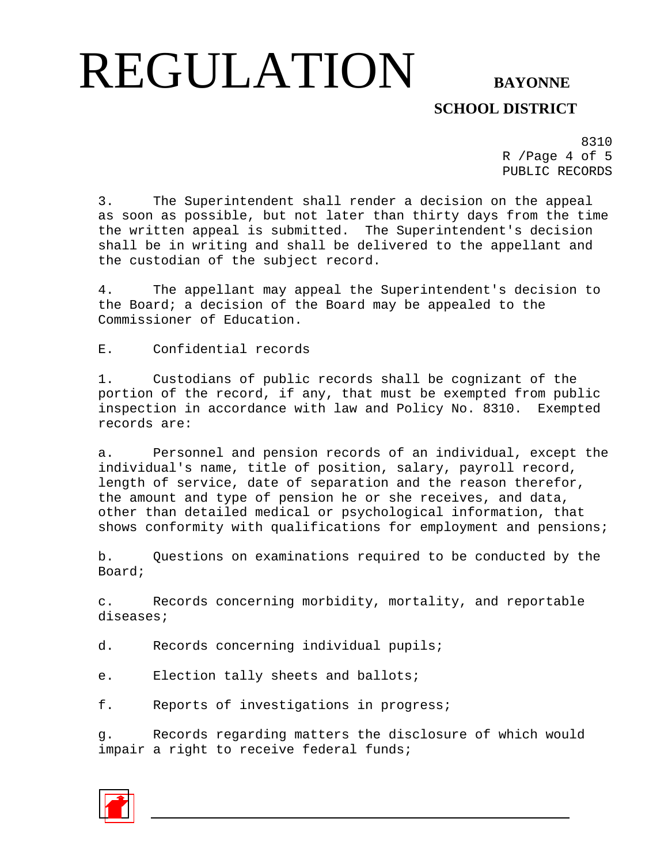## **SCHOOL DISTRICT**

8310 R /Page 4 of 5 PUBLIC RECORDS

3. The Superintendent shall render a decision on the appeal as soon as possible, but not later than thirty days from the time the written appeal is submitted. The Superintendent's decision shall be in writing and shall be delivered to the appellant and the custodian of the subject record.

4. The appellant may appeal the Superintendent's decision to the Board; a decision of the Board may be appealed to the Commissioner of Education.

E. Confidential records

1. Custodians of public records shall be cognizant of the portion of the record, if any, that must be exempted from public inspection in accordance with law and Policy No. 8310. Exempted records are:

a. Personnel and pension records of an individual, except the individual's name, title of position, salary, payroll record, length of service, date of separation and the reason therefor, the amount and type of pension he or she receives, and data, other than detailed medical or psychological information, that shows conformity with qualifications for employment and pensions;

b. Questions on examinations required to be conducted by the Board;

c. Records concerning morbidity, mortality, and reportable diseases;

d. Records concerning individual pupils;

e. Election tally sheets and ballots;

f. Reports of investigations in progress;

g. Records regarding matters the disclosure of which would impair a right to receive federal funds;